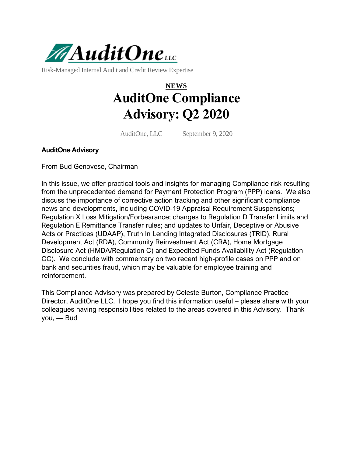

Risk-Managed Internal Audit and Credit Review Expertise

# **NEWS AuditOne Compliance Advisory: Q2 2020**

[AuditOne, LLC](https://www.auditonellc.com/author/auditone/) [September 9, 2020](https://www.auditonellc.com/auditone-compliance-advisory-q2-2020/)

#### **AuditOne Advisory**

From Bud Genovese, Chairman

In this issue, we offer practical tools and insights for managing Compliance risk resulting from the unprecedented demand for Payment Protection Program (PPP) loans. We also discuss the importance of corrective action tracking and other significant compliance news and developments, including COVID-19 Appraisal Requirement Suspensions; Regulation X Loss Mitigation/Forbearance; changes to Regulation D Transfer Limits and Regulation E Remittance Transfer rules; and updates to Unfair, Deceptive or Abusive Acts or Practices (UDAAP), Truth In Lending Integrated Disclosures (TRID), Rural Development Act (RDA), Community Reinvestment Act (CRA), Home Mortgage Disclosure Act (HMDA/Regulation C) and Expedited Funds Availability Act (Regulation CC). We conclude with commentary on two recent high-profile cases on PPP and on bank and securities fraud, which may be valuable for employee training and reinforcement.

This Compliance Advisory was prepared by Celeste Burton, Compliance Practice Director, AuditOne LLC. I hope you find this information useful – please share with your colleagues having responsibilities related to the areas covered in this Advisory. Thank you, — Bud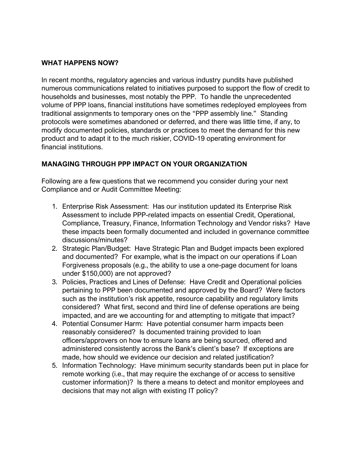#### **WHAT HAPPENS NOW?**

In recent months, regulatory agencies and various industry pundits have published numerous communications related to initiatives purposed to support the flow of credit to households and businesses, most notably the PPP. To handle the unprecedented volume of PPP loans, financial institutions have sometimes redeployed employees from traditional assignments to temporary ones on the "PPP assembly line." Standing protocols were sometimes abandoned or deferred, and there was little time, if any, to modify documented policies, standards or practices to meet the demand for this new product and to adapt it to the much riskier, COVID-19 operating environment for financial institutions.

### **MANAGING THROUGH PPP IMPACT ON YOUR ORGANIZATION**

Following are a few questions that we recommend you consider during your next Compliance and or Audit Committee Meeting:

- 1. Enterprise Risk Assessment: Has our institution updated its Enterprise Risk Assessment to include PPP-related impacts on essential Credit, Operational, Compliance, Treasury, Finance, Information Technology and Vendor risks? Have these impacts been formally documented and included in governance committee discussions/minutes?
- 2. Strategic Plan/Budget: Have Strategic Plan and Budget impacts been explored and documented? For example, what is the impact on our operations if Loan Forgiveness proposals (e.g., the ability to use a one-page document for loans under \$150,000) are not approved?
- 3. Policies, Practices and Lines of Defense: Have Credit and Operational policies pertaining to PPP been documented and approved by the Board? Were factors such as the institution's risk appetite, resource capability and regulatory limits considered? What first, second and third line of defense operations are being impacted, and are we accounting for and attempting to mitigate that impact?
- 4. Potential Consumer Harm: Have potential consumer harm impacts been reasonably considered? Is documented training provided to loan officers/approvers on how to ensure loans are being sourced, offered and administered consistently across the Bank's client's base? If exceptions are made, how should we evidence our decision and related justification?
- 5. Information Technology: Have minimum security standards been put in place for remote working (i.e., that may require the exchange of or access to sensitive customer information)? Is there a means to detect and monitor employees and decisions that may not align with existing IT policy?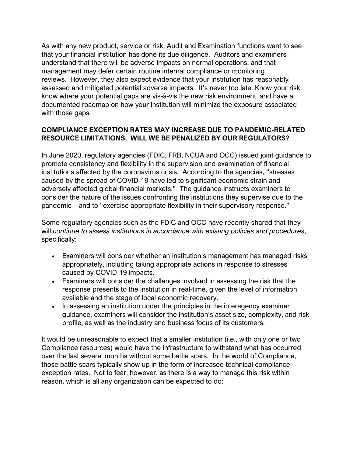As with any new product, service or risk, Audit and Examination functions want to see that your financial institution has done its due diligence. Auditors and examiners understand that there will be adverse impacts on normal operations, and that management may defer certain routine internal compliance or monitoring reviews. However, they also expect evidence that your institution has reasonably assessed and mitigated potential adverse impacts. It's never too late. Know your risk, know where your potential gaps are vis-à-vis the new risk environment, and have a documented roadmap on how your institution will minimize the exposure associated with those gaps.

### **COMPLIANCE EXCEPTION RATES MAY INCREASE DUE TO PANDEMIC-RELATED RESOURCE LIMITATIONS. WILL WE BE PENALIZED BY OUR REGULATORS?**

In June 2020, regulatory agencies (FDIC, FRB, NCUA and OCC) issued joint guidance to promote consistency and flexibility in the supervision and examination of financial institutions affected by the coronavirus crisis. According to the agencies, "stresses caused by the spread of COVID-19 have led to significant economic strain and adversely affected global financial markets." The guidance instructs examiners to consider the nature of the issues confronting the institutions they supervise due to the pandemic – and to "exercise appropriate flexibility in their supervisory response."

Some regulatory agencies such as the FDIC and OCC have recently shared that they will *continue to assess institutions in accordance with existing policies and procedures*, specifically:

- Examiners will consider whether an institution's management has managed risks appropriately, including taking appropriate actions in response to stresses caused by COVID-19 impacts.
- Examiners will consider the challenges involved in assessing the risk that the response presents to the institution in real-time, given the level of information available and the stage of local economic recovery.
- In assessing an institution under the principles in the interagency examiner guidance, examiners will consider the institution's asset size, complexity, and risk profile, as well as the industry and business focus of its customers.

It would be unreasonable to expect that a smaller institution (i.e., with only one or two Compliance resources) would have the infrastructure to withstand what has occurred over the last several months without some battle scars. In the world of Compliance, those battle scars typically show up in the form of increased technical compliance exception rates. Not to fear, however, as there is a way to manage this risk within reason, which is all any organization can be expected to do: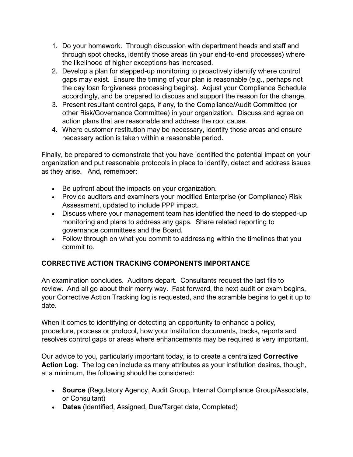- 1. Do your homework. Through discussion with department heads and staff and through spot checks, identify those areas (in your end-to-end processes) where the likelihood of higher exceptions has increased.
- 2. Develop a plan for stepped-up monitoring to proactively identify where control gaps may exist. Ensure the timing of your plan is reasonable (e.g., perhaps not the day loan forgiveness processing begins). Adjust your Compliance Schedule accordingly, and be prepared to discuss and support the reason for the change.
- 3. Present resultant control gaps, if any, to the Compliance/Audit Committee (or other Risk/Governance Committee) in your organization. Discuss and agree on action plans that are reasonable and address the root cause.
- 4. Where customer restitution may be necessary, identify those areas and ensure necessary action is taken within a reasonable period.

Finally, be prepared to demonstrate that you have identified the potential impact on your organization and put reasonable protocols in place to identify, detect and address issues as they arise. And, remember:

- Be upfront about the impacts on your organization.
- Provide auditors and examiners your modified Enterprise (or Compliance) Risk Assessment, updated to include PPP impact.
- Discuss where your management team has identified the need to do stepped-up monitoring and plans to address any gaps. Share related reporting to governance committees and the Board.
- Follow through on what you commit to addressing within the timelines that you commit to.

# **CORRECTIVE ACTION TRACKING COMPONENTS IMPORTANCE**

An examination concludes. Auditors depart. Consultants request the last file to review. And all go about their merry way. Fast forward, the next audit or exam begins, your Corrective Action Tracking log is requested, and the scramble begins to get it up to date.

When it comes to identifying or detecting an opportunity to enhance a policy, procedure, process or protocol, how your institution documents, tracks, reports and resolves control gaps or areas where enhancements may be required is very important.

Our advice to you, particularly important today, is to create a centralized **Corrective Action Log**. The log can include as many attributes as your institution desires, though, at a minimum, the following should be considered:

- **Source** (Regulatory Agency, Audit Group, Internal Compliance Group/Associate, or Consultant)
- **Dates** (Identified, Assigned, Due/Target date, Completed)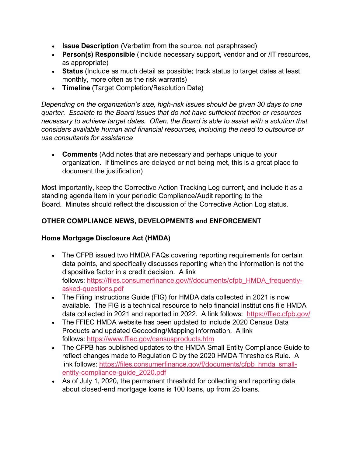- **Issue Description** (Verbatim from the source, not paraphrased)
- **Person(s) Responsible** (Include necessary support, vendor and or /IT resources, as appropriate)
- **Status** (Include as much detail as possible; track status to target dates at least monthly, more often as the risk warrants)
- **Timeline** (Target Completion/Resolution Date)

*Depending on the organization's size, high-risk issues should be given 30 days to one quarter. Escalate to the Board issues that do not have sufficient traction or resources necessary to achieve target dates. Often, the Board is able to assist with a solution that considers available human and financial resources, including the need to outsource or use consultants for assistance*

• **Comments** (Add notes that are necessary and perhaps unique to your organization. If timelines are delayed or not being met, this is a great place to document the justification)

Most importantly, keep the Corrective Action Tracking Log current, and include it as a standing agenda item in your periodic Compliance/Audit reporting to the Board. Minutes should reflect the discussion of the Corrective Action Log status.

# **OTHER COMPLIANCE NEWS, DEVELOPMENTS and ENFORCEMENT**

### **Home Mortgage Disclosure Act (HMDA)**

- The CFPB issued two HMDA FAQs covering reporting requirements for certain data points, and specifically discusses reporting when the information is not the dispositive factor in a credit decision. A link follows: [https://files.consumerfinance.gov/f/documents/cfpb\\_HMDA\\_frequently](https://files.consumerfinance.gov/f/documents/cfpb_HMDA_frequently-asked-questions.pdf)[asked-questions.pdf](https://files.consumerfinance.gov/f/documents/cfpb_HMDA_frequently-asked-questions.pdf)
- The Filing Instructions Guide (FIG) for HMDA data collected in 2021 is now available. The FIG is a technical resource to help financial institutions file HMDA data collected in 2021 and reported in 2022. A link follows: <https://ffiec.cfpb.gov/>
- The FFIEC HMDA website has been updated to include 2020 Census Data Products and updated Geocoding/Mapping information. A link follows: [https://www.ffiec.gov/censusproducts.htm](https://nam04.safelinks.protection.outlook.com/?url=http%3A%2F%2Ftracking.auditonellc.com%2Fls%2Fclick%3Fupn%3D1-2Fb99dNPJb9r6MPb5YO-2BA1jtNNrtjXMX1rcseTJPEFAhFxdFfvBEJycppYOWovmYmu9zC6PYnFxfK338oC1CiAewq-2Fz0y4hG-2FbXHWbwT5c-2Fko9YzXEtBpJBZZKIc525TUgQQOjjTplWC7NhfHlFAbw-3D-3DJTp0_-2BWiwW2cdxMc885sCwXUKmojcQvAq8kTbhgRBLME4Guoo-2FQyLft0CLlsQ5DCEQMERKF-2BOKScSjbP9hL5THIqK5uW1xpoIyYyXRaTpdON-2BU995isXVi-2Bu-2FNomsxAdghxcU1YtnJvu9ayIRma72rG3WYQ5H7v-2F-2B7XK5TSIQ0NYT-2Fo-2B-2BWlM64nGF8lNnfAz-2B81doOUElrg5J4XRfZO-2BPxStmWQDQZXcM41MEhQVSuUMOal2KvAdgQdhiC2UWxsb6GCYGy6ppDxtOIWRNk-2BPI2xaHTto-2FGIdUzqvVuF4P0liuu-2F8ffyRnGH57UmTjzjcUgb0scm2D26GmrzN6EYFMDdvVEI20ObgTSqDDE1LSAYndUmd8u1QehiU44OWl7Vt7dOVXEHjV2z2NJ1aeeBdxY5IrwG5ayp5hz1jmPlb-2F3GvsnK3wcVCkIgqMcFbh-2FkTu-2Bdmp&data=02%7C01%7Calex.woodall%40auditonellc.com%7C6029d779120a48160d8e08d84f38770f%7C0f98c19b4a28494ba957b93e4ea2820d%7C0%7C0%7C637346451715691589&sdata=p8Who3D56tUio52kPwXHY0wpwoj5450YiSQIb35YF1o%3D&reserved=0)
- The CFPB has published updates to the HMDA Small Entity Compliance Guide to reflect changes made to Regulation C by the 2020 HMDA Thresholds Rule. A link follows: [https://files.consumerfinance.gov/f/documents/cfpb\\_hmda\\_small](https://files.consumerfinance.gov/f/documents/cfpb_hmda_small-entity-compliance-guide_2020.pdf)[entity-compliance-guide\\_2020.pdf](https://files.consumerfinance.gov/f/documents/cfpb_hmda_small-entity-compliance-guide_2020.pdf)
- As of July 1, 2020, the permanent threshold for collecting and reporting data about closed-end mortgage loans is 100 loans, up from 25 loans.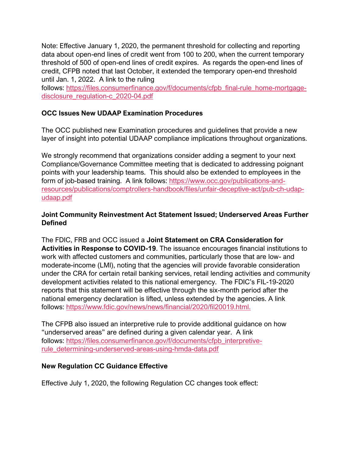Note: Effective January 1, 2020, the permanent threshold for collecting and reporting data about open-end lines of credit went from 100 to 200, when the current temporary threshold of 500 of open-end lines of credit expires. As regards the open-end lines of credit, CFPB noted that last October, it extended the temporary open-end threshold until Jan. 1, 2022. A link to the ruling

follows: [https://files.consumerfinance.gov/f/documents/cfpb\\_final-rule\\_home-mortgage](https://nam04.safelinks.protection.outlook.com/?url=http%3A%2F%2Ftracking.auditonellc.com%2Fls%2Fclick%3Fupn%3D1-2Fb99dNPJb9r6MPb5YO-2BA7L6baHAdTqNHFbRRKZHlekFb5Bzn0HnfyOlRbjk2nPDdw8RMLkD9vuI14jXQATK2HCDX-2B-2BLqImJvz2-2BxUXSjIE05cfh-2BBu9I7bwOdUi0J-2BdaX5OPfaSeqRM4B4Yu6U3xyWRc9ziMccuNiCmVjh08eBnGpgBjlLU8sIznuYziGQjIm3NEWw6wJK2hlQw0-2FNzyzL1eQzoZ3d3cPGrnTp7kdU5aos3rw6UoNRHtXfoiAuaYrOk_-2BWiwW2cdxMc885sCwXUKmojcQvAq8kTbhgRBLME4Guoo-2FQyLft0CLlsQ5DCEQMERKF-2BOKScSjbP9hL5THIqK5uW1xpoIyYyXRaTpdON-2BU995isXVi-2Bu-2FNomsxAdghxcU1YtnJvu9ayIRma72rG3WYQ5H7v-2F-2B7XK5TSIQ0NYT-2Fo-2B-2BWlM64nGF8lNnfAz-2B81doOUElrg5J4XRfZO-2BPxStmWQDQZXcM41MEhQVSuUMOal2KvAdgQdhiC2UWxsb6GCYG0LJgJtAtWHN1a39q-2FqOZqxagJkQ4c-2F5LEiZ3kyyE3rlPsDxNvm-2FElqchuCaYUZ0TV6LQg-2FVe360QRrLpUc5OZcBIg5hHnexIRr8Ttr7-2BOjmlIT1D8lRCu9dyvJF4F3QeK1AY2boM2r-2BT15W5iOFEt-2BbcvhIGWMsea2FrbEEqqtwEja6Igou-2Bk7UnlMQ-2BpA67&data=02%7C01%7Calex.woodall%40auditonellc.com%7C6029d779120a48160d8e08d84f38770f%7C0f98c19b4a28494ba957b93e4ea2820d%7C0%7C0%7C637346451715701576&sdata=PMVaGvPmcFaH2kwdijyVxrEmwvgDEEsB6bUzcZv%2B%2B5c%3D&reserved=0)[disclosure\\_regulation-c\\_2020-04.pdf](https://nam04.safelinks.protection.outlook.com/?url=http%3A%2F%2Ftracking.auditonellc.com%2Fls%2Fclick%3Fupn%3D1-2Fb99dNPJb9r6MPb5YO-2BA7L6baHAdTqNHFbRRKZHlekFb5Bzn0HnfyOlRbjk2nPDdw8RMLkD9vuI14jXQATK2HCDX-2B-2BLqImJvz2-2BxUXSjIE05cfh-2BBu9I7bwOdUi0J-2BdaX5OPfaSeqRM4B4Yu6U3xyWRc9ziMccuNiCmVjh08eBnGpgBjlLU8sIznuYziGQjIm3NEWw6wJK2hlQw0-2FNzyzL1eQzoZ3d3cPGrnTp7kdU5aos3rw6UoNRHtXfoiAuaYrOk_-2BWiwW2cdxMc885sCwXUKmojcQvAq8kTbhgRBLME4Guoo-2FQyLft0CLlsQ5DCEQMERKF-2BOKScSjbP9hL5THIqK5uW1xpoIyYyXRaTpdON-2BU995isXVi-2Bu-2FNomsxAdghxcU1YtnJvu9ayIRma72rG3WYQ5H7v-2F-2B7XK5TSIQ0NYT-2Fo-2B-2BWlM64nGF8lNnfAz-2B81doOUElrg5J4XRfZO-2BPxStmWQDQZXcM41MEhQVSuUMOal2KvAdgQdhiC2UWxsb6GCYG0LJgJtAtWHN1a39q-2FqOZqxagJkQ4c-2F5LEiZ3kyyE3rlPsDxNvm-2FElqchuCaYUZ0TV6LQg-2FVe360QRrLpUc5OZcBIg5hHnexIRr8Ttr7-2BOjmlIT1D8lRCu9dyvJF4F3QeK1AY2boM2r-2BT15W5iOFEt-2BbcvhIGWMsea2FrbEEqqtwEja6Igou-2Bk7UnlMQ-2BpA67&data=02%7C01%7Calex.woodall%40auditonellc.com%7C6029d779120a48160d8e08d84f38770f%7C0f98c19b4a28494ba957b93e4ea2820d%7C0%7C0%7C637346451715701576&sdata=PMVaGvPmcFaH2kwdijyVxrEmwvgDEEsB6bUzcZv%2B%2B5c%3D&reserved=0)

### **OCC Issues New UDAAP Examination Procedures**

The OCC published new Examination procedures and guidelines that provide a new layer of insight into potential UDAAP compliance implications throughout organizations.

We strongly recommend that organizations consider adding a segment to your next Compliance/Governance Committee meeting that is dedicated to addressing poignant points with your leadership teams. This should also be extended to employees in the form of job-based training. A link follows: [https://www.occ.gov/publications-and](https://www.occ.gov/publications-and-resources/publications/comptrollers-handbook/files/unfair-deceptive-act/pub-ch-udap-udaap.pdf)[resources/publications/comptrollers-handbook/files/unfair-deceptive-act/pub-ch-udap](https://www.occ.gov/publications-and-resources/publications/comptrollers-handbook/files/unfair-deceptive-act/pub-ch-udap-udaap.pdf)[udaap.pdf](https://www.occ.gov/publications-and-resources/publications/comptrollers-handbook/files/unfair-deceptive-act/pub-ch-udap-udaap.pdf)

#### **Joint Community Reinvestment Act Statement Issued; Underserved Areas Further Defined**

The FDIC, FRB and OCC issued a **Joint Statement on CRA Consideration for Activities in Response to COVID-19**. The issuance encourages financial institutions to work with affected customers and communities, particularly those that are low- and moderate-income (LMI), noting that the agencies will provide favorable consideration under the CRA for certain retail banking services, retail lending activities and community development activities related to this national emergency. The FDIC's FIL-19-2020 reports that this statement will be effective through the six-month period after the national emergency declaration is lifted, unless extended by the agencies. A link follows: [https://www.fdic.gov/news/news/financial/2020/fil20019.html.](https://www.fdic.gov/news/news/financial/2020/fil20019.html)

The CFPB also issued an interpretive rule to provide additional guidance on how "underserved areas" are defined during a given calendar year. A link follows: [https://files.consumerfinance.gov/f/documents/cfpb\\_interpretive](https://files.consumerfinance.gov/f/documents/cfpb_interpretive-rule_determining-underserved-areas-using-hmda-data.pdf)[rule\\_determining-underserved-areas-using-hmda-data.pdf](https://files.consumerfinance.gov/f/documents/cfpb_interpretive-rule_determining-underserved-areas-using-hmda-data.pdf)

#### **New Regulation CC Guidance Effective**

Effective July 1, 2020, the following Regulation CC changes took effect: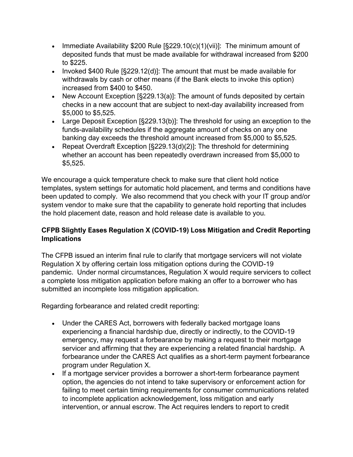- Immediate Availability \$200 Rule [§229.10(c)(1)(vii)]: The minimum amount of deposited funds that must be made available for withdrawal increased from \$200 to \$225.
- Invoked \$400 Rule [§229.12(d)]: The amount that must be made available for withdrawals by cash or other means (if the Bank elects to invoke this option) increased from \$400 to \$450.
- New Account Exception [§229.13(a)]: The amount of funds deposited by certain checks in a new account that are subject to next-day availability increased from \$5,000 to \$5,525.
- Large Deposit Exception [§229.13(b)]: The threshold for using an exception to the funds-availability schedules if the aggregate amount of checks on any one banking day exceeds the threshold amount increased from \$5,000 to \$5,525.
- Repeat Overdraft Exception [§229.13(d)(2)]: The threshold for determining whether an account has been repeatedly overdrawn increased from \$5,000 to \$5,525.

We encourage a quick temperature check to make sure that client hold notice templates, system settings for automatic hold placement, and terms and conditions have been updated to comply. We also recommend that you check with your IT group and/or system vendor to make sure that the capability to generate hold reporting that includes the hold placement date, reason and hold release date is available to you.

# **CFPB Slightly Eases Regulation X (COVID-19) Loss Mitigation and Credit Reporting Implications**

The CFPB issued an interim final rule to clarify that mortgage servicers will not violate Regulation X by offering certain loss mitigation options during the COVID-19 pandemic. Under normal circumstances, Regulation X would require servicers to collect a complete loss mitigation application before making an offer to a borrower who has submitted an incomplete loss mitigation application.

Regarding forbearance and related credit reporting:

- Under the CARES Act, borrowers with federally backed mortgage loans experiencing a financial hardship due, directly or indirectly, to the COVID-19 emergency, may request a forbearance by making a request to their mortgage servicer and affirming that they are experiencing a related financial hardship. A forbearance under the CARES Act qualifies as a short-term payment forbearance program under Regulation X.
- If a mortgage servicer provides a borrower a short-term forbearance payment option, the agencies do not intend to take supervisory or enforcement action for failing to meet certain timing requirements for consumer communications related to incomplete application acknowledgement, loss mitigation and early intervention, or annual escrow. The Act requires lenders to report to credit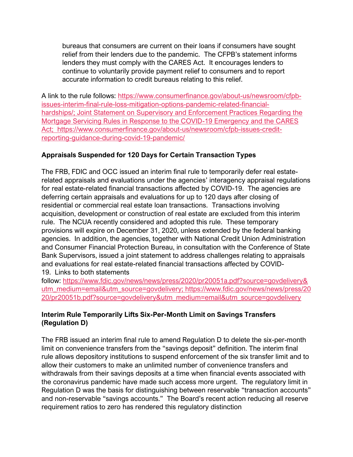bureaus that consumers are current on their loans if consumers have sought relief from their lenders due to the pandemic. The CFPB's statement informs lenders they must comply with the CARES Act. It encourages lenders to continue to voluntarily provide payment relief to consumers and to report accurate information to credit bureaus relating to this relief.

A link to the rule follows: [https://www.consumerfinance.gov/about-us/newsroom/cfpb](https://www.consumerfinance.gov/about-us/newsroom/cfpb-issues-interim-final-rule-loss-mitigation-options-pandemic-related-financial-hardships/)[issues-interim-final-rule-loss-mitigation-options-pandemic-related-financial](https://www.consumerfinance.gov/about-us/newsroom/cfpb-issues-interim-final-rule-loss-mitigation-options-pandemic-related-financial-hardships/)[hardships/](https://www.consumerfinance.gov/about-us/newsroom/cfpb-issues-interim-final-rule-loss-mitigation-options-pandemic-related-financial-hardships/)[;](https://www.consumerfinance.gov/about-us/newsroom/cfpb-issues-interim-final-rule-loss-mitigation-options-pandemic-related-financial-hardships/;%20Joint%20Statement%20on%20Supervisory%20and%20Enforcement%20Practices%20Regarding%20the%20Mortgage%20Servicing%20Rules%20in%20Response%20to%20the%20COVID-19%20Emergency%20and%20the%20CARES%20Act;%20%20https:/www.consumerfinance.gov/about-us/newsroom/cfpb-issues-credit-reporting-guidance-during-covid-19-pandemic/) [Joint Statement on Supervisory and Enforcement Practices Regarding the](https://www.fdic.gov/news/press-releases/2020/pr20047a.pdf?utm_source=sendgrid.com&utm_medium=email&utm_campaign=website)  [Mortgage Servicing Rules in Response to the COVID-19 Emergency and the CARES](https://www.fdic.gov/news/press-releases/2020/pr20047a.pdf?utm_source=sendgrid.com&utm_medium=email&utm_campaign=website)  [Act](https://www.fdic.gov/news/press-releases/2020/pr20047a.pdf?utm_source=sendgrid.com&utm_medium=email&utm_campaign=website)[;](https://www.consumerfinance.gov/about-us/newsroom/cfpb-issues-interim-final-rule-loss-mitigation-options-pandemic-related-financial-hardships/;%20Joint%20Statement%20on%20Supervisory%20and%20Enforcement%20Practices%20Regarding%20the%20Mortgage%20Servicing%20Rules%20in%20Response%20to%20the%20COVID-19%20Emergency%20and%20the%20CARES%20Act;%20%20https:/www.consumerfinance.gov/about-us/newsroom/cfpb-issues-credit-reporting-guidance-during-covid-19-pandemic/) [https://www.consumerfinance.gov/about-us/newsroom/cfpb-issues-credit](https://www.consumerfinance.gov/about-us/newsroom/cfpb-issues-credit-reporting-guidance-during-covid-19-pandemic/)[reporting-guidance-during-covid-19-pandemic/](https://www.consumerfinance.gov/about-us/newsroom/cfpb-issues-credit-reporting-guidance-during-covid-19-pandemic/)

# **Appraisals Suspended for 120 Days for Certain Transaction Types**

The FRB, FDIC and OCC issued an interim final rule to temporarily defer real estaterelated appraisals and evaluations under the agencies' interagency appraisal regulations for real estate-related financial transactions affected by COVID-19. The agencies are deferring certain appraisals and evaluations for up to 120 days after closing of residential or commercial real estate loan transactions. Transactions involving acquisition, development or construction of real estate are excluded from this interim rule. The NCUA recently considered and adopted this rule. These temporary provisions will expire on December 31, 2020, unless extended by the federal banking agencies. In addition, the agencies, together with National Credit Union Administration and Consumer Financial Protection Bureau, in consultation with the Conference of State Bank Supervisors, issued a joint statement to address challenges relating to appraisals and evaluations for real estate-related financial transactions affected by COVID-

19. Links to both statements

follow: [https://www.fdic.gov/news/news/press/2020/pr20051a.pdf?source=govdelivery&](https://www.fdic.gov/news/news/press/2020/pr20051a.pdf?source=govdelivery&utm_medium=email&utm_source=govdelivery) [utm\\_medium=email&utm\\_source=govdelivery](https://www.fdic.gov/news/news/press/2020/pr20051a.pdf?source=govdelivery&utm_medium=email&utm_source=govdelivery)[;](https://www.fdic.gov/news/news/press/2020/pr20051a.pdf?source=govdelivery&utm_medium=email&utm_source=govdelivery;%20https://www.fdic.gov/news/news/press/2020/pr20051b.pdf?source=govdelivery&utm_medium=email&utm_source=govdelivery) [https://www.fdic.gov/news/news/press/20](https://www.fdic.gov/news/news/press/2020/pr20051b.pdf?source=govdelivery&utm_medium=email&utm_source=govdelivery) [20/pr20051b.pdf?source=govdelivery&utm\\_medium=email&utm\\_source=govdelivery](https://www.fdic.gov/news/news/press/2020/pr20051b.pdf?source=govdelivery&utm_medium=email&utm_source=govdelivery)

# **Interim Rule Temporarily Lifts Six-Per-Month Limit on Savings Transfers (Regulation D)**

The FRB issued an interim final rule to amend Regulation D to delete the six-per-month limit on convenience transfers from the "savings deposit" definition. The interim final rule allows depository institutions to suspend enforcement of the six transfer limit and to allow their customers to make an unlimited number of convenience transfers and withdrawals from their savings deposits at a time when financial events associated with the coronavirus pandemic have made such access more urgent. The regulatory limit in Regulation D was the basis for distinguishing between reservable "transaction accounts" and non-reservable "savings accounts." The Board's recent action reducing all reserve requirement ratios to zero has rendered this regulatory distinction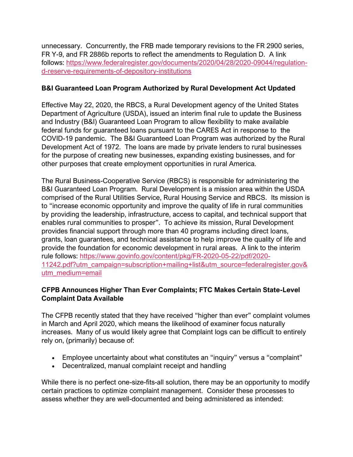unnecessary. Concurrently, the FRB made temporary revisions to the FR 2900 series, FR Y-9, and FR 2886b reports to reflect the amendments to Regulation D. A link follows: [https://www.federalregister.gov/documents/2020/04/28/2020-09044/regulation](https://www.federalregister.gov/documents/2020/04/28/2020-09044/regulation-d-reserve-requirements-of-depository-institutions)[d-reserve-requirements-of-depository-institutions](https://www.federalregister.gov/documents/2020/04/28/2020-09044/regulation-d-reserve-requirements-of-depository-institutions)

#### **B&I Guaranteed Loan Program Authorized by Rural Development Act Updated**

Effective May 22, 2020, the RBCS, a Rural Development agency of the United States Department of Agriculture (USDA), issued an interim final rule to update the Business and Industry (B&I) Guaranteed Loan Program to allow flexibility to make available federal funds for guaranteed loans pursuant to the CARES Act in response to the COVID-19 pandemic. The B&I Guaranteed Loan Program was authorized by the Rural Development Act of 1972. The loans are made by private lenders to rural businesses for the purpose of creating new businesses, expanding existing businesses, and for other purposes that create employment opportunities in rural America.

The Rural Business-Cooperative Service (RBCS) is responsible for administering the B&I Guaranteed Loan Program. Rural Development is a mission area within the USDA comprised of the Rural Utilities Service, Rural Housing Service and RBCS. Its mission is to "increase economic opportunity and improve the quality of life in rural communities by providing the leadership, infrastructure, access to capital, and technical support that enables rural communities to prosper". To achieve its mission, Rural Development provides financial support through more than 40 programs including direct loans, grants, loan guarantees, and technical assistance to help improve the quality of life and provide the foundation for economic development in rural areas. A link to the interim rule follows: [https://www.govinfo.gov/content/pkg/FR-2020-05-22/pdf/2020-](https://www.govinfo.gov/content/pkg/FR-2020-05-22/pdf/2020-11242.pdf?utm_campaign=subscription+mailing+list&utm_source=federalregister.gov&utm_medium=email) [11242.pdf?utm\\_campaign=subscription+mailing+list&utm\\_source=federalregister.gov&](https://www.govinfo.gov/content/pkg/FR-2020-05-22/pdf/2020-11242.pdf?utm_campaign=subscription+mailing+list&utm_source=federalregister.gov&utm_medium=email) [utm\\_medium=email](https://www.govinfo.gov/content/pkg/FR-2020-05-22/pdf/2020-11242.pdf?utm_campaign=subscription+mailing+list&utm_source=federalregister.gov&utm_medium=email)

### **CFPB Announces Higher Than Ever Complaints; FTC Makes Certain State-Level Complaint Data Available**

The CFPB recently stated that they have received "higher than ever" complaint volumes in March and April 2020, which means the likelihood of examiner focus naturally increases. Many of us would likely agree that Complaint logs can be difficult to entirely rely on, (primarily) because of:

- Employee uncertainty about what constitutes an "inquiry" versus a "complaint"
- Decentralized, manual complaint receipt and handling

While there is no perfect one-size-fits-all solution, there may be an opportunity to modify certain practices to optimize complaint management. Consider these processes to assess whether they are well-documented and being administered as intended: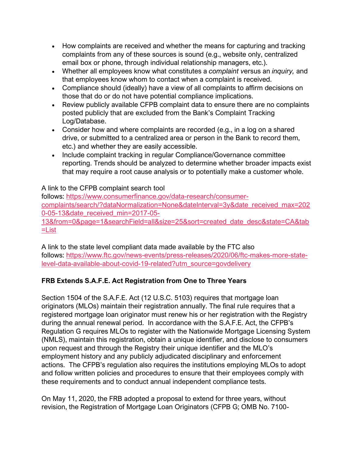- How complaints are received and whether the means for capturing and tracking complaints from any of these sources is sound (e.g., website only, centralized email box or phone, through individual relationship managers, etc.).
- Whether all employees know what constitutes a *complaint v*ersus an *inquiry,* and that employees know whom to contact when a complaint is received.
- Compliance should (ideally) have a view of all complaints to affirm decisions on those that do or do not have potential compliance implications.
- Review publicly available CFPB complaint data to ensure there are no complaints posted publicly that are excluded from the Bank's Complaint Tracking Log/Database.
- Consider how and where complaints are recorded (e.g., in a log on a shared drive, or submitted to a centralized area or person in the Bank to record them, etc.) and whether they are easily accessible.
- Include complaint tracking in regular Compliance/Governance committee reporting. Trends should be analyzed to determine whether broader impacts exist that may require a root cause analysis or to potentially make a customer whole.

# A link to the CFPB complaint search tool

follows: [https://www.consumerfinance.gov/data-research/consumer](https://www.consumerfinance.gov/data-research/consumer-complaints/search/?dataNormalization=None&dateInterval=3y&date_received_max=2020-05-13&date_received_min=2017-05-13&from=0&page=1&searchField=all&size=25&sort=created_date_desc&state=CA&tab=List)[complaints/search/?dataNormalization=None&dateInterval=3y&date\\_received\\_max=202](https://www.consumerfinance.gov/data-research/consumer-complaints/search/?dataNormalization=None&dateInterval=3y&date_received_max=2020-05-13&date_received_min=2017-05-13&from=0&page=1&searchField=all&size=25&sort=created_date_desc&state=CA&tab=List) [0-05-13&date\\_received\\_min=2017-05-](https://www.consumerfinance.gov/data-research/consumer-complaints/search/?dataNormalization=None&dateInterval=3y&date_received_max=2020-05-13&date_received_min=2017-05-13&from=0&page=1&searchField=all&size=25&sort=created_date_desc&state=CA&tab=List) [13&from=0&page=1&searchField=all&size=25&sort=created\\_date\\_desc&state=CA&tab](https://www.consumerfinance.gov/data-research/consumer-complaints/search/?dataNormalization=None&dateInterval=3y&date_received_max=2020-05-13&date_received_min=2017-05-13&from=0&page=1&searchField=all&size=25&sort=created_date_desc&state=CA&tab=List) [=List](https://www.consumerfinance.gov/data-research/consumer-complaints/search/?dataNormalization=None&dateInterval=3y&date_received_max=2020-05-13&date_received_min=2017-05-13&from=0&page=1&searchField=all&size=25&sort=created_date_desc&state=CA&tab=List)

A link to the state level compliant data made available by the FTC also follows: [https://www.ftc.gov/news-events/press-releases/2020/06/ftc-makes-more-state](https://www.ftc.gov/news-events/press-releases/2020/06/ftc-makes-more-state-level-data-available-about-covid-19-related?utm_source=govdelivery)[level-data-available-about-covid-19-related?utm\\_source=govdelivery](https://www.ftc.gov/news-events/press-releases/2020/06/ftc-makes-more-state-level-data-available-about-covid-19-related?utm_source=govdelivery)

# **FRB Extends S.A.F.E. Act Registration from One to Three Years**

Section 1504 of the S.A.F.E. Act (12 U.S.C. 5103) requires that mortgage loan originators (MLOs) maintain their registration annually. The final rule requires that a registered mortgage loan originator must renew his or her registration with the Registry during the annual renewal period. In accordance with the S.A.F.E. Act, the CFPB's Regulation G requires MLOs to register with the Nationwide Mortgage Licensing System (NMLS), maintain this registration, obtain a unique identifier, and disclose to consumers upon request and through the Registry their unique identifier and the MLO's employment history and any publicly adjudicated disciplinary and enforcement actions. The CFPB's regulation also requires the institutions employing MLOs to adopt and follow written policies and procedures to ensure that their employees comply with these requirements and to conduct annual independent compliance tests.

On May 11, 2020, the FRB adopted a proposal to extend for three years, without revision, the Registration of Mortgage Loan Originators (CFPB G; OMB No. 7100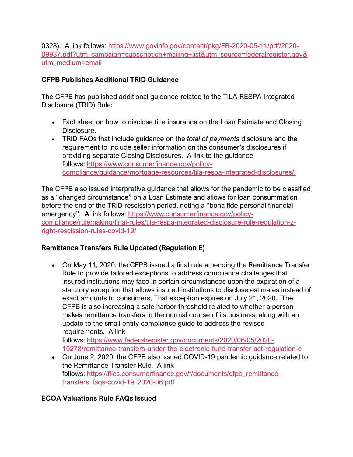0328). A link follows: [https://www.govinfo.gov/content/pkg/FR-2020-05-11/pdf/2020-](https://www.govinfo.gov/content/pkg/FR-2020-05-11/pdf/2020-09937.pdf?utm_campaign=subscription+mailing+list&utm_source=federalregister.gov&utm_medium=email) [09937.pdf?utm\\_campaign=subscription+mailing+list&utm\\_source=federalregister.gov&](https://www.govinfo.gov/content/pkg/FR-2020-05-11/pdf/2020-09937.pdf?utm_campaign=subscription+mailing+list&utm_source=federalregister.gov&utm_medium=email) [utm\\_medium=email](https://www.govinfo.gov/content/pkg/FR-2020-05-11/pdf/2020-09937.pdf?utm_campaign=subscription+mailing+list&utm_source=federalregister.gov&utm_medium=email)

# **CFPB Publishes Additional TRID Guidance**

The CFPB has published additional guidance related to the TILA-RESPA Integrated Disclosure (TRID) Rule:

- Fact sheet on how to disclose title insurance on the Loan Estimate and Closing Disclosure.
- TRID FAQs that include guidance on the *total of payments* disclosure and the requirement to include seller information on the consumer's disclosures if providing separate Closing Disclosures. A link to the guidance follows: [https://www.consumerfinance.gov/policy](https://www.consumerfinance.gov/policy-compliance/guidance/mortgage-resources/tila-respa-integrated-disclosures/)[compliance/guidance/mortgage-resources/tila-respa-integrated-disclosures/.](https://www.consumerfinance.gov/policy-compliance/guidance/mortgage-resources/tila-respa-integrated-disclosures/)

The CFPB also issued interpretive guidance that allows for the pandemic to be classified as a "changed circumstance" on a Loan Estimate and allows for loan consummation before the end of the TRID rescission period, noting a "bona fide personal financial emergency". A link follows: [https://www.consumerfinance.gov/policy](https://www.consumerfinance.gov/policy-compliance/rulemaking/final-rules/tila-respa-integrated-disclosure-rule-regulation-z-right-rescission-rules-covid-19/)[compliance/rulemaking/final-rules/tila-respa-integrated-disclosure-rule-regulation-z](https://www.consumerfinance.gov/policy-compliance/rulemaking/final-rules/tila-respa-integrated-disclosure-rule-regulation-z-right-rescission-rules-covid-19/)[right-rescission-rules-covid-19/](https://www.consumerfinance.gov/policy-compliance/rulemaking/final-rules/tila-respa-integrated-disclosure-rule-regulation-z-right-rescission-rules-covid-19/)

# **Remittance Transfers Rule Updated (Regulation E)**

• On May 11, 2020, the CFPB issued a final rule amending the Remittance Transfer Rule to provide tailored exceptions to address compliance challenges that insured institutions may face in certain circumstances upon the expiration of a statutory exception that allows insured institutions to disclose estimates instead of exact amounts to consumers. That exception expires on July 21, 2020. The CFPB is also increasing a safe harbor threshold related to whether a person makes remittance transfers in the normal course of its business, along with an update to the small entity compliance guide to address the revised requirements. A link

follows: [https://www.federalregister.gov/documents/2020/06/05/2020-](https://www.federalregister.gov/documents/2020/06/05/2020-10278/remittance-transfers-under-the-electronic-fund-transfer-act-regulation-e) [10278/remittance-transfers-under-the-electronic-fund-transfer-act-regulation-e](https://www.federalregister.gov/documents/2020/06/05/2020-10278/remittance-transfers-under-the-electronic-fund-transfer-act-regulation-e)

• On June 2, 2020, the CFPB also issued COVID-19 pandemic guidance related to the Remittance Transfer Rule. A link follows: [https://files.consumerfinance.gov/f/documents/cfpb\\_remittance](https://files.consumerfinance.gov/f/documents/cfpb_remittance-transfers_faqs-covid-19_2020-06.pdf)[transfers\\_faqs-covid-19\\_2020-06.pdf](https://files.consumerfinance.gov/f/documents/cfpb_remittance-transfers_faqs-covid-19_2020-06.pdf)

# **ECOA Valuations Rule FAQs Issued**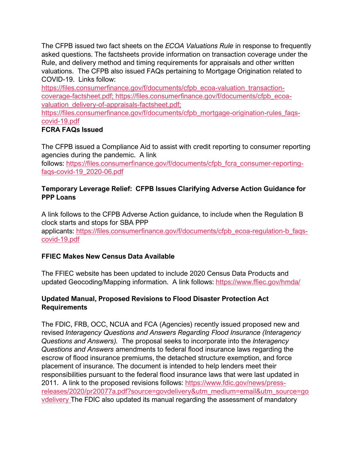The CFPB issued two fact sheets on the *ECOA Valuations Rule* in response to frequently asked questions. The factsheets provide information on transaction coverage under the Rule, and delivery method and timing requirements for appraisals and other written valuations. The CFPB also issued FAQs pertaining to Mortgage Origination related to COVID-19. Links follow:

[https://files.consumerfinance.gov/f/documents/cfpb\\_ecoa-valuation\\_transaction](https://files.consumerfinance.gov/f/documents/cfpb_ecoa-valuation_transaction-coverage-factsheet.pdf)[coverage-factsheet.pdf](https://files.consumerfinance.gov/f/documents/cfpb_ecoa-valuation_transaction-coverage-factsheet.pdf)[;](https://files.consumerfinance.gov/f/documents/cfpb_ecoa-valuation_transaction-coverage-factsheet.pdf;%20https:/files.consumerfinance.gov/f/documents/cfpb_ecoa-valuation_delivery-of-appraisals-factsheet.pdf;%20https:/files.consumerfinance.gov/f/documents/cfpb_mortgage-origination-rules_faqs-covid-19.pdf) [https://files.consumerfinance.gov/f/documents/cfpb\\_ecoa](https://files.consumerfinance.gov/f/documents/cfpb_ecoa-valuation_delivery-of-appraisals-factsheet.pdf)[valuation\\_delivery-of-appraisals-factsheet.pdf](https://files.consumerfinance.gov/f/documents/cfpb_ecoa-valuation_delivery-of-appraisals-factsheet.pdf)[;](https://files.consumerfinance.gov/f/documents/cfpb_ecoa-valuation_transaction-coverage-factsheet.pdf;%20https:/files.consumerfinance.gov/f/documents/cfpb_ecoa-valuation_delivery-of-appraisals-factsheet.pdf;%20https:/files.consumerfinance.gov/f/documents/cfpb_mortgage-origination-rules_faqs-covid-19.pdf)

[https://files.consumerfinance.gov/f/documents/cfpb\\_mortgage-origination-rules\\_faqs](https://files.consumerfinance.gov/f/documents/cfpb_mortgage-origination-rules_faqs-covid-19.pdf)[covid-19.pdf](https://files.consumerfinance.gov/f/documents/cfpb_mortgage-origination-rules_faqs-covid-19.pdf)

# **FCRA FAQs Issued**

The CFPB issued a Compliance Aid to assist with credit reporting to consumer reporting agencies during the pandemic. A link

follows: [https://files.consumerfinance.gov/f/documents/cfpb\\_fcra\\_consumer-reporting](https://files.consumerfinance.gov/f/documents/cfpb_fcra_consumer-reporting-faqs-covid-19_2020-06.pdf)[faqs-covid-19\\_2020-06.pdf](https://files.consumerfinance.gov/f/documents/cfpb_fcra_consumer-reporting-faqs-covid-19_2020-06.pdf)

#### **Temporary Leverage Relief: CFPB Issues Clarifying Adverse Action Guidance for PPP Loans**

A link follows to the CFPB Adverse Action guidance, to include when the Regulation B clock starts and stops for SBA PPP applicants: [https://files.consumerfinance.gov/f/documents/cfpb\\_ecoa-regulation-b\\_faqs](https://files.consumerfinance.gov/f/documents/cfpb_ecoa-regulation-b_faqs-covid-19.pdf)[covid-19.pdf](https://files.consumerfinance.gov/f/documents/cfpb_ecoa-regulation-b_faqs-covid-19.pdf)

# **FFIEC Makes New Census Data Available**

The FFIEC website has been updated to include 2020 Census Data Products and updated Geocoding/Mapping information. A link follows: <https://www.ffiec.gov/hmda/>

# **Updated Manual, Proposed Revisions to Flood Disaster Protection Act Requirements**

The FDIC, FRB, OCC, NCUA and FCA (Agencies) recently issued proposed new and revised *Interagency Questions and Answers Regarding Flood Insurance (Interagency Questions and Answers).* The proposal seeks to incorporate into the *Interagency Questions and Answers* amendments to federal flood insurance laws regarding the escrow of flood insurance premiums, the detached structure exemption, and force placement of insurance. The document is intended to help lenders meet their responsibilities pursuant to the federal flood insurance laws that were last updated in 2011. A link to the proposed revisions follows: [https://www.fdic.gov/news/press](https://www.fdic.gov/news/press-releases/2020/pr20077a.pdf?source=govdelivery&utm_medium=email&utm_source=govdelivery)[releases/2020/pr20077a.pdf?source=govdelivery&utm\\_medium=email&utm\\_source=go](https://www.fdic.gov/news/press-releases/2020/pr20077a.pdf?source=govdelivery&utm_medium=email&utm_source=govdelivery) [vdelivery](https://www.fdic.gov/news/press-releases/2020/pr20077a.pdf?source=govdelivery&utm_medium=email&utm_source=govdelivery) The FDIC also updated its manual regarding the assessment of mandatory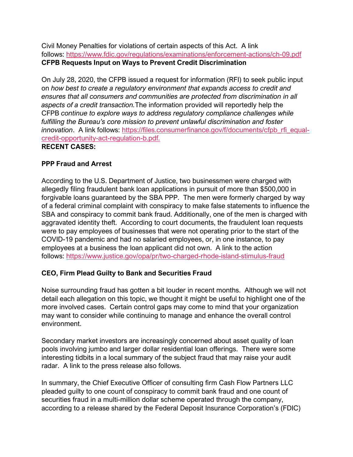Civil Money Penalties for violations of certain aspects of this Act. A link follows: <https://www.fdic.gov/regulations/examinations/enforcement-actions/ch-09.pdf> **CFPB Requests Input on Ways to Prevent Credit Discrimination**

On July 28, 2020, the CFPB issued a request for information (RFI) to seek public input on *how best to create a regulatory environment that expands access to credit and ensures that all consumers and communities are protected from discrimination in all aspects of a credit transaction.*The information provided will reportedly help the CFPB *continue to explore ways to address regulatory compliance challenges while fulfilling the Bureau's core mission to prevent unlawful discrimination and foster innovation*. A link follows: [https://files.consumerfinance.gov/f/documents/cfpb\\_rfi\\_equal](https://files.consumerfinance.gov/f/documents/cfpb_rfi_equal-credit-opportunity-act-regulation-b.pdf)[credit-opportunity-act-regulation-b.pdf.](https://files.consumerfinance.gov/f/documents/cfpb_rfi_equal-credit-opportunity-act-regulation-b.pdf) **RECENT CASES:**

### **PPP Fraud and Arrest**

According to the U.S. Department of Justice, two businessmen were charged with allegedly filing fraudulent bank loan applications in pursuit of more than \$500,000 in forgivable loans guaranteed by the SBA PPP. The men were formerly charged by way of a federal criminal complaint with conspiracy to make false statements to influence the SBA and conspiracy to commit bank fraud. Additionally, one of the men is charged with aggravated identity theft. According to court documents, the fraudulent loan requests were to pay employees of businesses that were not operating prior to the start of the COVID-19 pandemic and had no salaried employees, or, in one instance, to pay employees at a business the loan applicant did not own. A link to the action follows: <https://www.justice.gov/opa/pr/two-charged-rhode-island-stimulus-fraud>

### **CEO, Firm Plead Guilty to Bank and Securities Fraud**

Noise surrounding fraud has gotten a bit louder in recent months. Although we will not detail each allegation on this topic, we thought it might be useful to highlight one of the more involved cases. Certain control gaps may come to mind that your organization may want to consider while continuing to manage and enhance the overall control environment.

Secondary market investors are increasingly concerned about asset quality of loan pools involving jumbo and larger dollar residential loan offerings. There were some interesting tidbits in a local summary of the subject fraud that may raise your audit radar. A link to the press release also follows.

In summary, the Chief Executive Officer of consulting firm Cash Flow Partners LLC pleaded guilty to one count of conspiracy to commit bank fraud and one count of securities fraud in a multi-million dollar scheme operated through the company, according to a release shared by the Federal Deposit Insurance Corporation's (FDIC)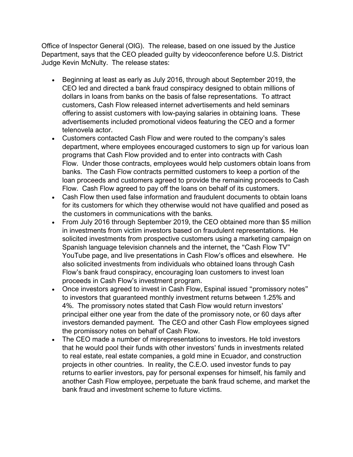Office of Inspector General (OIG). The release, based on one issued by the Justice Department, says that the CEO pleaded guilty by videoconference before U.S. District Judge Kevin McNulty. The release states:

- Beginning at least as early as July 2016, through about September 2019, the CEO led and directed a bank fraud conspiracy designed to obtain millions of dollars in loans from banks on the basis of false representations. To attract customers, Cash Flow released internet advertisements and held seminars offering to assist customers with low-paying salaries in obtaining loans. These advertisements included promotional videos featuring the CEO and a former telenovela actor.
- Customers contacted Cash Flow and were routed to the company's sales department, where employees encouraged customers to sign up for various loan programs that Cash Flow provided and to enter into contracts with Cash Flow. Under those contracts, employees would help customers obtain loans from banks. The Cash Flow contracts permitted customers to keep a portion of the loan proceeds and customers agreed to provide the remaining proceeds to Cash Flow. Cash Flow agreed to pay off the loans on behalf of its customers.
- Cash Flow then used false information and fraudulent documents to obtain loans for its customers for which they otherwise would not have qualified and posed as the customers in communications with the banks.
- From July 2016 through September 2019, the CEO obtained more than \$5 million in investments from victim investors based on fraudulent representations. He solicited investments from prospective customers using a marketing campaign on Spanish language television channels and the internet, the "Cash Flow TV" YouTube page, and live presentations in Cash Flow's offices and elsewhere. He also solicited investments from individuals who obtained loans through Cash Flow's bank fraud conspiracy, encouraging loan customers to invest loan proceeds in Cash Flow's investment program.
- Once investors agreed to invest in Cash Flow, Espinal issued "promissory notes" to investors that guaranteed monthly investment returns between 1.25% and 4%. The promissory notes stated that Cash Flow would return investors' principal either one year from the date of the promissory note, or 60 days after investors demanded payment. The CEO and other Cash Flow employees signed the promissory notes on behalf of Cash Flow.
- The CEO made a number of misrepresentations to investors. He told investors that he would pool their funds with other investors' funds in investments related to real estate, real estate companies, a gold mine in Ecuador, and construction projects in other countries. In reality, the C.E.O. used investor funds to pay returns to earlier investors, pay for personal expenses for himself, his family and another Cash Flow employee, perpetuate the bank fraud scheme, and market the bank fraud and investment scheme to future victims.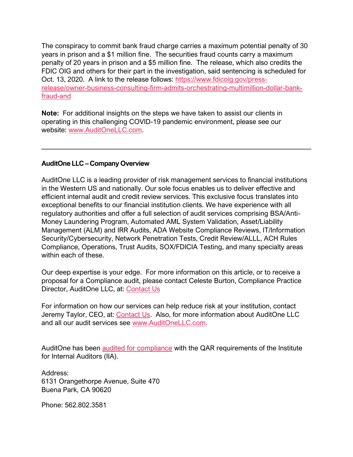The conspiracy to commit bank fraud charge carries a maximum potential penalty of 30 years in prison and a \$1 million fine. The securities fraud counts carry a maximum penalty of 20 years in prison and a \$5 million fine. The release, which also credits the FDIC OIG and others for their part in the investigation, said sentencing is scheduled for Oct. 13, 2020. A link to the release follows: [https://www.fdicoig.gov/press](https://www.fdicoig.gov/press-release/owner-business-consulting-firm-admits-orchestrating-multimillion-dollar-bank-fraud-and)[release/owner-business-consulting-firm-admits-orchestrating-multimillion-dollar-bank](https://www.fdicoig.gov/press-release/owner-business-consulting-firm-admits-orchestrating-multimillion-dollar-bank-fraud-and)[fraud-and](https://www.fdicoig.gov/press-release/owner-business-consulting-firm-admits-orchestrating-multimillion-dollar-bank-fraud-and)

**Note:** For additional insights on the steps we have taken to assist our clients in operating in this challenging COVID-19 pandemic environment, please see our website: [www.AuditOneLLC.com.](http://www.auditonellc.com/)

#### **AuditOne LLC – Company Overview**

AuditOne LLC is a leading provider of risk management services to financial institutions in the Western US and nationally. Our sole focus enables us to deliver effective and efficient internal audit and credit review services. This exclusive focus translates into exceptional benefits to our financial institution clients. We have experience with all regulatory authorities and offer a full selection of audit services comprising BSA/Anti-Money Laundering Program, Automated AML System Validation, Asset/Liability Management (ALM) and IRR Audits, ADA Website Compliance Reviews, IT/Information Security/Cybersecurity, Network Penetration Tests, Credit Review/ALLL, ACH Rules Compliance, Operations, Trust Audits, SOX/FDICIA Testing, and many specialty areas within each of these.

Our deep expertise is your edge. For more information on this article, or to receive a proposal for a Compliance audit, please contact Celeste Burton, Compliance Practice Director, AuditOne LLC, at: [Contact Us](http://www.auditonellc.com/team-contact)

For information on how our services can help reduce risk at your institution, contact Jeremy Taylor, CEO, at: [Contact Us.](http://www.auditonellc.com/team-contact) Also, for more information about AuditOne LLC and all our audit services see [www.AuditOneLLC.com.](http://www.auditonellc.com/)

AuditOne has been [audited for compliance](https://www.auditonellc.com/wp-content/uploads/2018_QAR.pdf) with the QAR requirements of the Institute for Internal Auditors (IIA).

Address: 6131 Orangethorpe Avenue, Suite 470 Buena Park, CA 90620

Phone: 562.802.3581